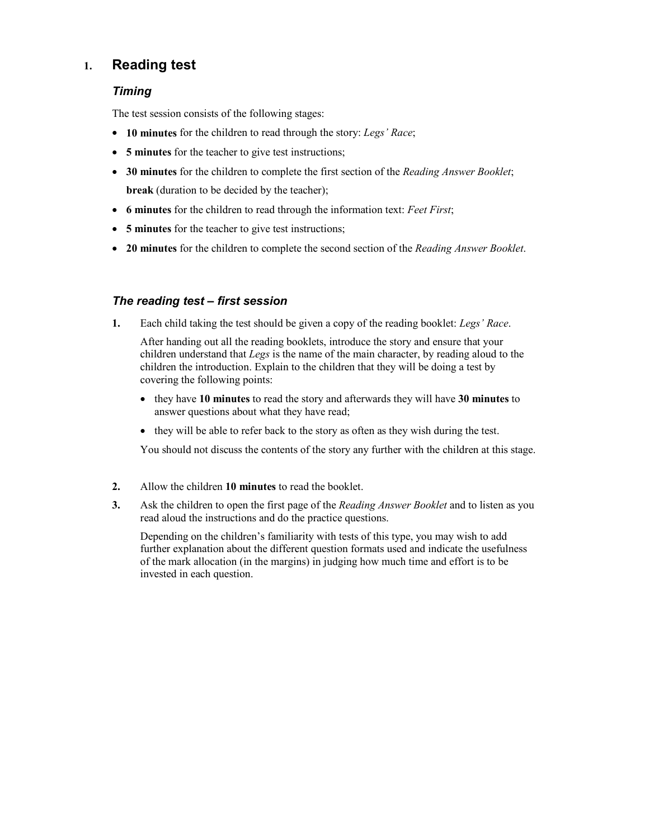## 1. Reading test

## Timing

The test session consists of the following stages:

- 10 minutes for the children to read through the story: Legs' Race;
- 5 minutes for the teacher to give test instructions;
- 30 minutes for the children to complete the first section of the *Reading Answer Booklet*; break (duration to be decided by the teacher);
- 6 minutes for the children to read through the information text: Feet First;
- 5 minutes for the teacher to give test instructions;
- 20 minutes for the children to complete the second section of the *Reading Answer Booklet*.

## The reading test – first session

1. Each child taking the test should be given a copy of the reading booklet: Legs' Race.

 After handing out all the reading booklets, introduce the story and ensure that your children understand that Legs is the name of the main character, by reading aloud to the children the introduction. Explain to the children that they will be doing a test by covering the following points:

- they have 10 minutes to read the story and afterwards they will have 30 minutes to answer questions about what they have read;
- they will be able to refer back to the story as often as they wish during the test.

You should not discuss the contents of the story any further with the children at this stage.

- 2. Allow the children 10 minutes to read the booklet.
- 3. Ask the children to open the first page of the *Reading Answer Booklet* and to listen as you read aloud the instructions and do the practice questions.

 Depending on the children's familiarity with tests of this type, you may wish to add further explanation about the different question formats used and indicate the usefulness of the mark allocation (in the margins) in judging how much time and effort is to be invested in each question.